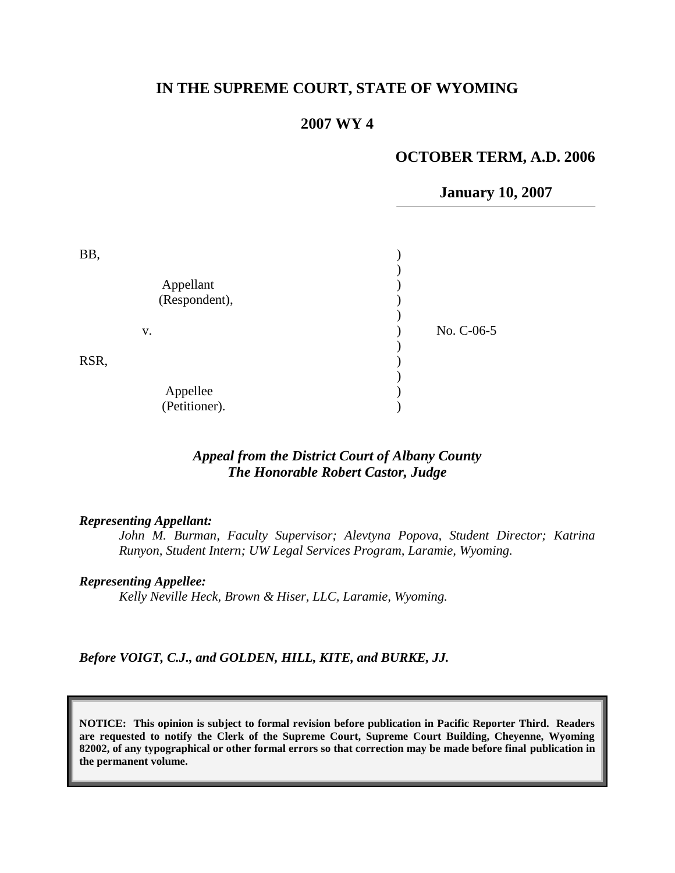# **IN THE SUPREME COURT, STATE OF WYOMING**

#### **2007 WY 4**

#### **OCTOBER TERM, A.D. 2006**

**January 10, 2007**

| BB,  |                            |            |
|------|----------------------------|------------|
|      | Appellant<br>(Respondent), |            |
|      | V.                         | No. C-06-5 |
| RSR, |                            |            |
|      | Appellee<br>(Petitioner).  |            |

# *Appeal from the District Court of Albany County The Honorable Robert Castor, Judge*

#### *Representing Appellant:*

*John M. Burman, Faculty Supervisor; Alevtyna Popova, Student Director; Katrina Runyon, Student Intern; UW Legal Services Program, Laramie, Wyoming.*

#### *Representing Appellee:*

*Kelly Neville Heck, Brown & Hiser, LLC, Laramie, Wyoming.*

*Before VOIGT, C.J., and GOLDEN, HILL, KITE, and BURKE, JJ.*

**NOTICE: This opinion is subject to formal revision before publication in Pacific Reporter Third. Readers are requested to notify the Clerk of the Supreme Court, Supreme Court Building, Cheyenne, Wyoming 82002, of any typographical or other formal errors so that correction may be made before final publication in the permanent volume.**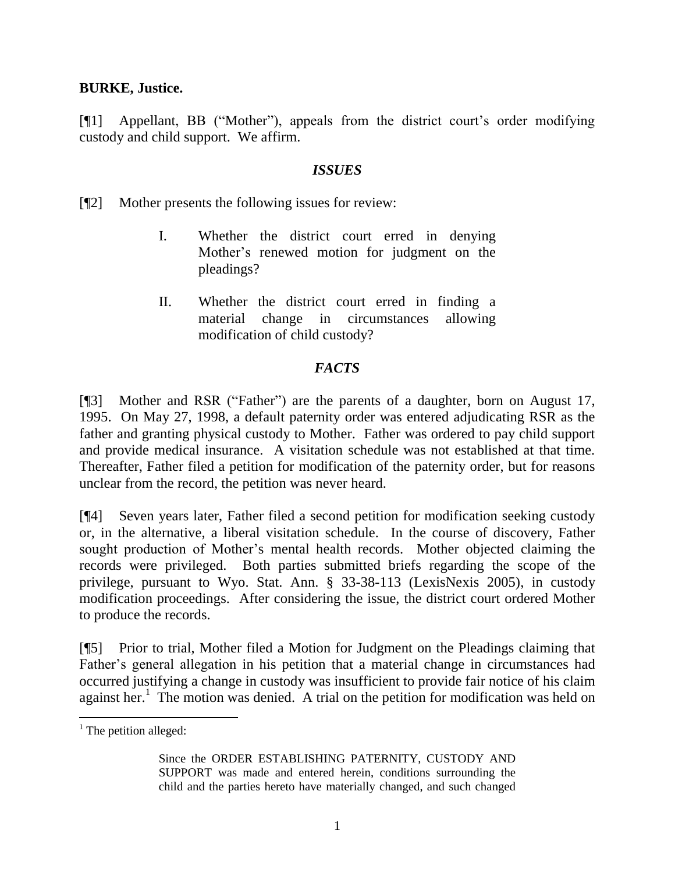## **BURKE, Justice.**

[¶1] Appellant, BB ("Mother"), appeals from the district court's order modifying custody and child support. We affirm.

## *ISSUES*

[¶2] Mother presents the following issues for review:

- I. Whether the district court erred in denying Mother's renewed motion for judgment on the pleadings?
- II. Whether the district court erred in finding a material change in circumstances allowing modification of child custody?

# *FACTS*

[¶3] Mother and RSR ("Father") are the parents of a daughter, born on August 17, 1995. On May 27, 1998, a default paternity order was entered adjudicating RSR as the father and granting physical custody to Mother. Father was ordered to pay child support and provide medical insurance. A visitation schedule was not established at that time. Thereafter, Father filed a petition for modification of the paternity order, but for reasons unclear from the record, the petition was never heard.

[¶4] Seven years later, Father filed a second petition for modification seeking custody or, in the alternative, a liberal visitation schedule. In the course of discovery, Father sought production of Mother's mental health records. Mother objected claiming the records were privileged. Both parties submitted briefs regarding the scope of the privilege, pursuant to Wyo. Stat. Ann. § 33-38-113 (LexisNexis 2005), in custody modification proceedings. After considering the issue, the district court ordered Mother to produce the records.

[¶5] Prior to trial, Mother filed a Motion for Judgment on the Pleadings claiming that Father's general allegation in his petition that a material change in circumstances had occurred justifying a change in custody was insufficient to provide fair notice of his claim against her.<sup>1</sup> The motion was denied. A trial on the petition for modification was held on

 $\overline{a}$ 

 $<sup>1</sup>$  The petition alleged:</sup>

Since the ORDER ESTABLISHING PATERNITY, CUSTODY AND SUPPORT was made and entered herein, conditions surrounding the child and the parties hereto have materially changed, and such changed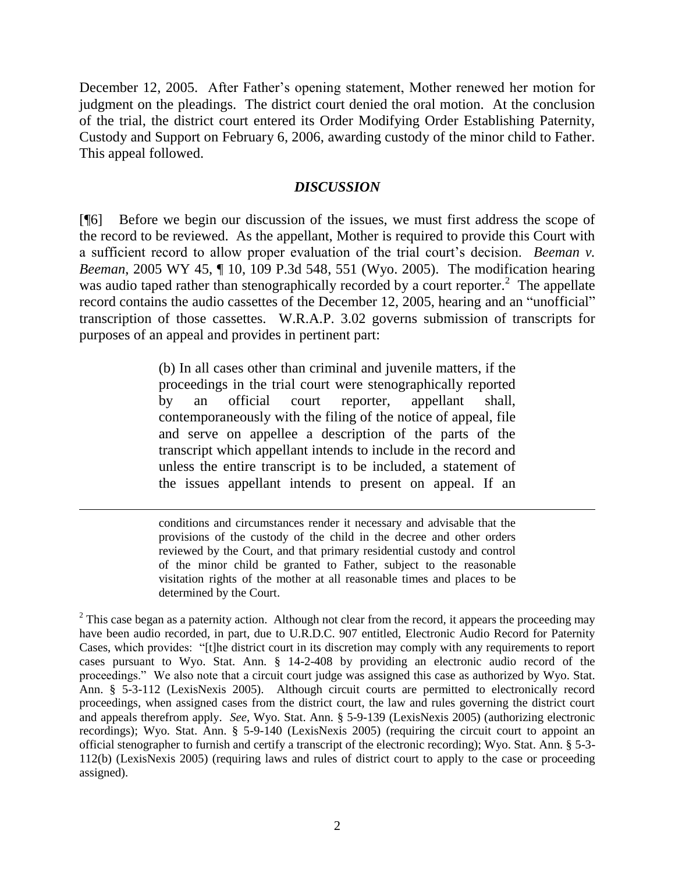December 12, 2005. After Father's opening statement, Mother renewed her motion for judgment on the pleadings. The district court denied the oral motion. At the conclusion of the trial, the district court entered its Order Modifying Order Establishing Paternity, Custody and Support on February 6, 2006, awarding custody of the minor child to Father. This appeal followed.

## *DISCUSSION*

[¶6] Before we begin our discussion of the issues, we must first address the scope of the record to be reviewed. As the appellant, Mother is required to provide this Court with a sufficient record to allow proper evaluation of the trial court's decision. *Beeman v. Beeman*, 2005 WY 45, ¶ 10, 109 P.3d 548, 551 (Wyo. 2005). The modification hearing was audio taped rather than stenographically recorded by a court reporter.<sup>2</sup> The appellate record contains the audio cassettes of the December 12, 2005, hearing and an "unofficial" transcription of those cassettes. W.R.A.P. 3.02 governs submission of transcripts for purposes of an appeal and provides in pertinent part:

> (b) In all cases other than criminal and juvenile matters, if the proceedings in the trial court were stenographically reported by an official court reporter, appellant shall, contemporaneously with the filing of the notice of appeal, file and serve on appellee a description of the parts of the transcript which appellant intends to include in the record and unless the entire transcript is to be included, a statement of the issues appellant intends to present on appeal. If an

> conditions and circumstances render it necessary and advisable that the provisions of the custody of the child in the decree and other orders reviewed by the Court, and that primary residential custody and control of the minor child be granted to Father, subject to the reasonable visitation rights of the mother at all reasonable times and places to be determined by the Court.

 $\overline{a}$ 

 $2$  This case began as a paternity action. Although not clear from the record, it appears the proceeding may have been audio recorded, in part, due to U.R.D.C. 907 entitled, Electronic Audio Record for Paternity Cases, which provides: "[t]he district court in its discretion may comply with any requirements to report cases pursuant to Wyo. Stat. Ann. § 14-2-408 by providing an electronic audio record of the proceedings." We also note that a circuit court judge was assigned this case as authorized by Wyo. Stat. Ann. § 5-3-112 (LexisNexis 2005). Although circuit courts are permitted to electronically record proceedings, when assigned cases from the district court, the law and rules governing the district court and appeals therefrom apply. *See,* Wyo. Stat. Ann. § 5-9-139 (LexisNexis 2005) (authorizing electronic recordings); Wyo. Stat. Ann. § 5-9-140 (LexisNexis 2005) (requiring the circuit court to appoint an official stenographer to furnish and certify a transcript of the electronic recording); Wyo. Stat. Ann. § 5-3- 112(b) (LexisNexis 2005) (requiring laws and rules of district court to apply to the case or proceeding assigned).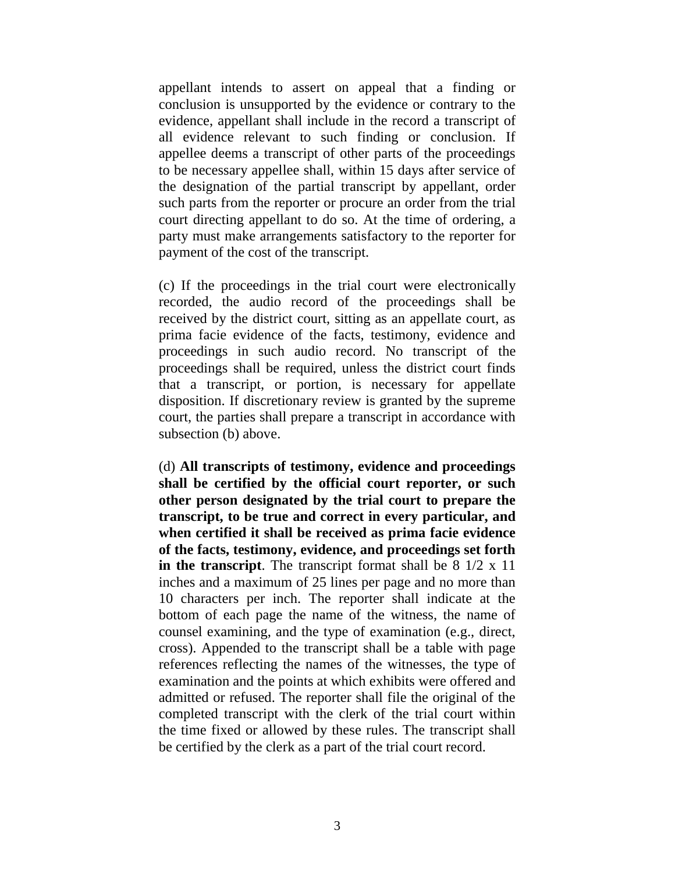appellant intends to assert on appeal that a finding or conclusion is unsupported by the evidence or contrary to the evidence, appellant shall include in the record a transcript of all evidence relevant to such finding or conclusion. If appellee deems a transcript of other parts of the proceedings to be necessary appellee shall, within 15 days after service of the designation of the partial transcript by appellant, order such parts from the reporter or procure an order from the trial court directing appellant to do so. At the time of ordering, a party must make arrangements satisfactory to the reporter for payment of the cost of the transcript.

(c) If the proceedings in the trial court were electronically recorded, the audio record of the proceedings shall be received by the district court, sitting as an appellate court, as prima facie evidence of the facts, testimony, evidence and proceedings in such audio record. No transcript of the proceedings shall be required, unless the district court finds that a transcript, or portion, is necessary for appellate disposition. If discretionary review is granted by the supreme court, the parties shall prepare a transcript in accordance with subsection (b) above.

(d) **All transcripts of testimony, evidence and proceedings shall be certified by the official court reporter, or such other person designated by the trial court to prepare the transcript, to be true and correct in every particular, and when certified it shall be received as prima facie evidence of the facts, testimony, evidence, and proceedings set forth in the transcript**. The transcript format shall be 8 1/2 x 11 inches and a maximum of 25 lines per page and no more than 10 characters per inch. The reporter shall indicate at the bottom of each page the name of the witness, the name of counsel examining, and the type of examination (e.g., direct, cross). Appended to the transcript shall be a table with page references reflecting the names of the witnesses, the type of examination and the points at which exhibits were offered and admitted or refused. The reporter shall file the original of the completed transcript with the clerk of the trial court within the time fixed or allowed by these rules. The transcript shall be certified by the clerk as a part of the trial court record.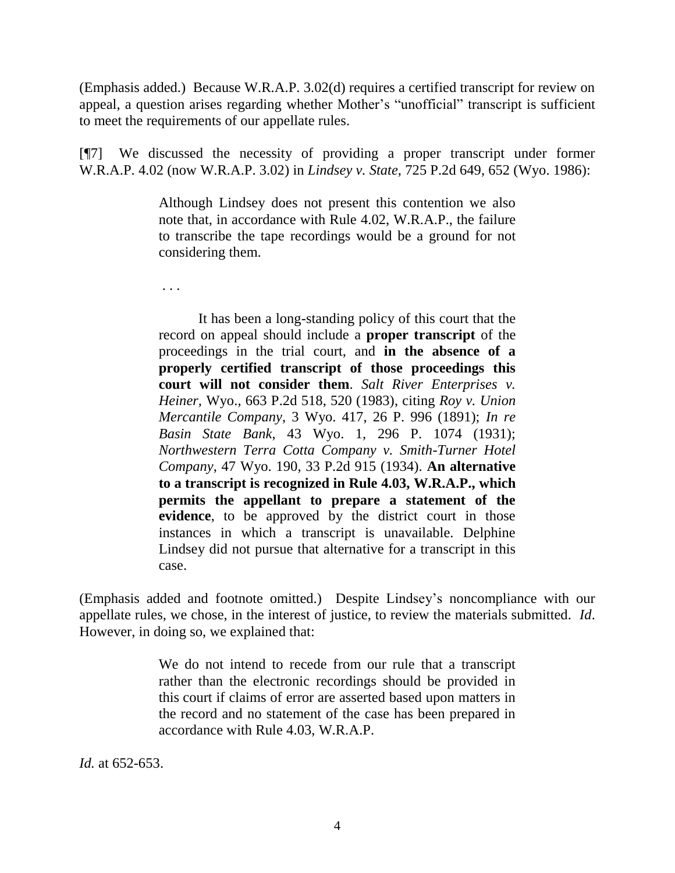(Emphasis added.) Because W.R.A.P. 3.02(d) requires a certified transcript for review on appeal, a question arises regarding whether Mother's "unofficial" transcript is sufficient to meet the requirements of our appellate rules.

[¶7] We discussed the necessity of providing a proper transcript under former W.R.A.P. 4.02 (now W.R.A.P. 3.02) in *Lindsey v. State,* 725 P.2d 649, 652 (Wyo. 1986):

> Although Lindsey does not present this contention we also note that, in accordance with Rule 4.02, W.R.A.P., the failure to transcribe the tape recordings would be a ground for not considering them.

. . .

It has been a long-standing policy of this court that the record on appeal should include a **proper transcript** of the proceedings in the trial court, and **in the absence of a properly certified transcript of those proceedings this court will not consider them**. *Salt River Enterprises v. Heiner,* Wyo., 663 P.2d 518, 520 (1983), citing *Roy v. Union Mercantile Company*, 3 Wyo. 417, 26 P. 996 (1891); *In re Basin State Bank*, 43 Wyo. 1, 296 P. 1074 (1931); *Northwestern Terra Cotta Company v. Smith-Turner Hotel Company*, 47 Wyo. 190, 33 P.2d 915 (1934). **An alternative to a transcript is recognized in Rule 4.03, W.R.A.P., which permits the appellant to prepare a statement of the evidence**, to be approved by the district court in those instances in which a transcript is unavailable. Delphine Lindsey did not pursue that alternative for a transcript in this case.

(Emphasis added and footnote omitted.) Despite Lindsey's noncompliance with our appellate rules, we chose, in the interest of justice, to review the materials submitted. *Id*. However, in doing so, we explained that:

> We do not intend to recede from our rule that a transcript rather than the electronic recordings should be provided in this court if claims of error are asserted based upon matters in the record and no statement of the case has been prepared in accordance with Rule 4.03, W.R.A.P.

*Id.* at 652-653.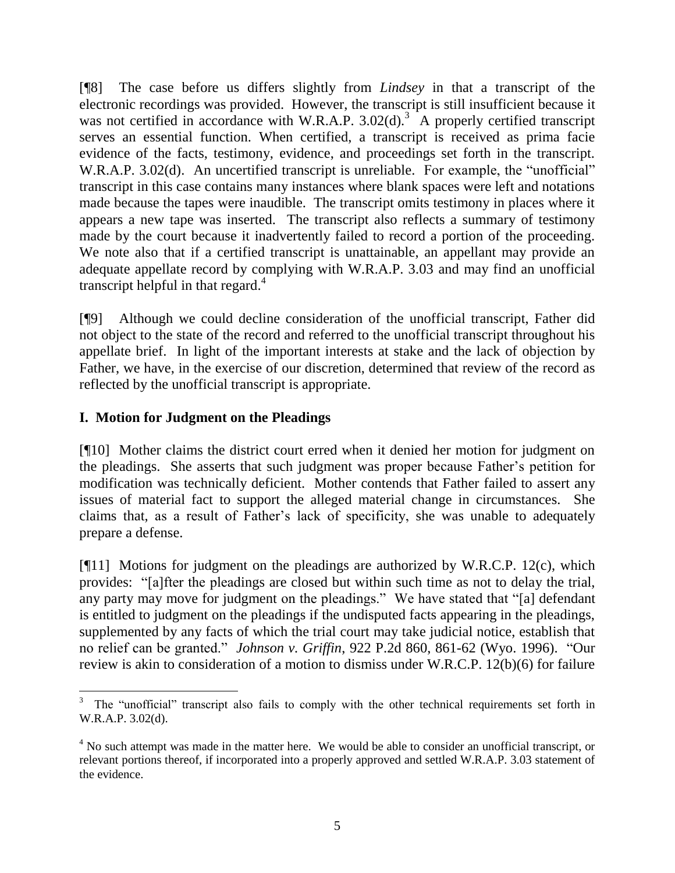[¶8] The case before us differs slightly from *Lindsey* in that a transcript of the electronic recordings was provided. However, the transcript is still insufficient because it was not certified in accordance with W.R.A.P.  $3.02(d)$ .<sup>3</sup> A properly certified transcript serves an essential function. When certified, a transcript is received as prima facie evidence of the facts, testimony, evidence, and proceedings set forth in the transcript. W.R.A.P. 3.02(d). An uncertified transcript is unreliable. For example, the "unofficial" transcript in this case contains many instances where blank spaces were left and notations made because the tapes were inaudible. The transcript omits testimony in places where it appears a new tape was inserted. The transcript also reflects a summary of testimony made by the court because it inadvertently failed to record a portion of the proceeding. We note also that if a certified transcript is unattainable, an appellant may provide an adequate appellate record by complying with W.R.A.P. 3.03 and may find an unofficial transcript helpful in that regard. 4

[¶9] Although we could decline consideration of the unofficial transcript, Father did not object to the state of the record and referred to the unofficial transcript throughout his appellate brief. In light of the important interests at stake and the lack of objection by Father, we have, in the exercise of our discretion, determined that review of the record as reflected by the unofficial transcript is appropriate.

# **I. Motion for Judgment on the Pleadings**

[¶10] Mother claims the district court erred when it denied her motion for judgment on the pleadings. She asserts that such judgment was proper because Father's petition for modification was technically deficient. Mother contends that Father failed to assert any issues of material fact to support the alleged material change in circumstances. She claims that, as a result of Father's lack of specificity, she was unable to adequately prepare a defense.

[ $[$ [11] Motions for judgment on the pleadings are authorized by W.R.C.P. 12 $(c)$ , which provides: "[a]fter the pleadings are closed but within such time as not to delay the trial, any party may move for judgment on the pleadings." We have stated that "[a] defendant is entitled to judgment on the pleadings if the undisputed facts appearing in the pleadings, supplemented by any facts of which the trial court may take judicial notice, establish that no relief can be granted." *Johnson v. Griffin*, 922 P.2d 860, 861-62 (Wyo. 1996). "Our review is akin to consideration of a motion to dismiss under W.R.C.P. 12(b)(6) for failure

 $\overline{a}$ 3 The "unofficial" transcript also fails to comply with the other technical requirements set forth in W.R.A.P. 3.02(d).

<sup>&</sup>lt;sup>4</sup> No such attempt was made in the matter here. We would be able to consider an unofficial transcript, or relevant portions thereof, if incorporated into a properly approved and settled W.R.A.P. 3.03 statement of the evidence.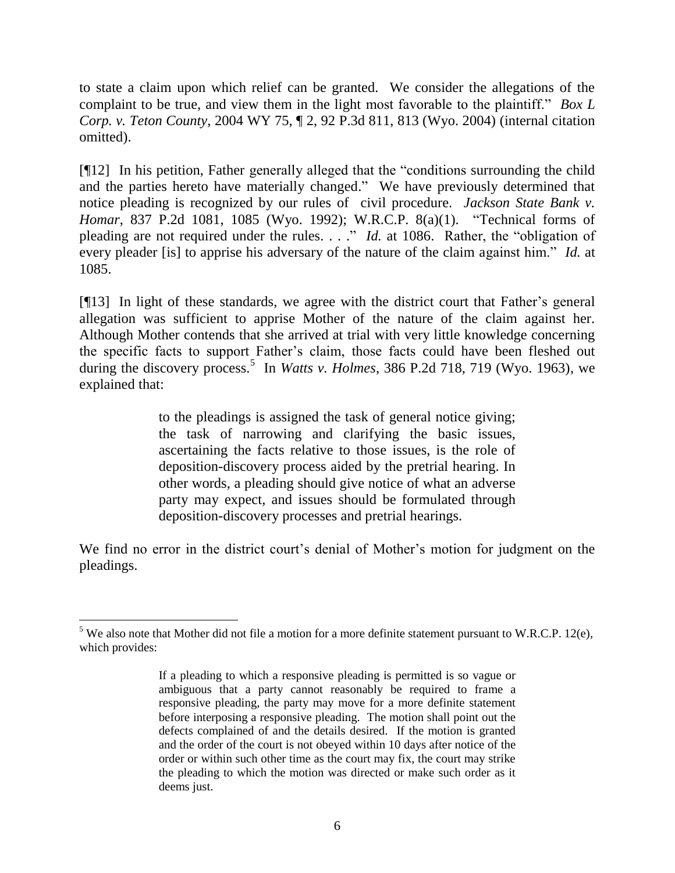to state a claim upon which relief can be granted. We consider the allegations of the complaint to be true, and view them in the light most favorable to the plaintiff." *[Box L](http://www.lexis.com/research/xlink?app=00075&view=full&searchtype=get&search=2004+WY+75)  Corp. v. Teton County*[, 2004 WY 75, ¶ 2, 92 P.3d 811, 813 \(Wyo. 2004\)](http://www.lexis.com/research/xlink?app=00075&view=full&searchtype=get&search=2004+WY+75) (internal citation omitted).

[¶12] In his petition, Father generally alleged that the "conditions surrounding the child and the parties hereto have materially changed." We have previously determined that notice pleading is recognized by our rules of civil procedure. *[Jackson State Bank v.](http://www.lexis.com/research/xlink?app=00075&view=full&searchtype=get&search=837+P.2d+1081)  Homar*[, 837 P.2d 1081, 1085](http://www.lexis.com/research/xlink?app=00075&view=full&searchtype=get&search=837+P.2d+1081) (Wyo. 1992); W.R.C.P. 8(a)(1). "Technical forms of pleading are not required under the rules. . . ." *Id.* at 1086. Rather, the "obligation of every pleader [is] to apprise his adversary of the nature of the claim against him." *Id.* at 1085.

[¶13] In light of these standards, we agree with the district court that Father's general allegation was sufficient to apprise Mother of the nature of the claim against her. Although Mother contends that she arrived at trial with very little knowledge concerning the specific facts to support Father's claim, those facts could have been fleshed out during the discovery process.<sup>5</sup> In *Watts v. Holmes*[, 386 P.2d 718, 719 \(Wyo. 1963\),](http://www.lexis.com/research/xlink?app=00075&view=full&searchtype=get&search=386+P.2d+719) we explained that:

> to the pleadings is assigned the task of general notice giving; the task of narrowing and clarifying the basic issues, ascertaining the facts relative to those issues, is the role of deposition-discovery process aided by the pretrial hearing. In other words, a pleading should give notice of what an adverse party may expect, and issues should be formulated through deposition-discovery processes and pretrial hearings.

We find no error in the district court's denial of Mother's motion for judgment on the pleadings.

 $\overline{a}$ 

 $5$  We also note that Mother did not file a motion for a more definite statement pursuant to W.R.C.P. 12(e), which provides:

If a pleading to which a responsive pleading is permitted is so vague or ambiguous that a party cannot reasonably be required to frame a responsive pleading, the party may move for a more definite statement before interposing a responsive pleading. The motion shall point out the defects complained of and the details desired. If the motion is granted and the order of the court is not obeyed within 10 days after notice of the order or within such other time as the court may fix, the court may strike the pleading to which the motion was directed or make such order as it deems just.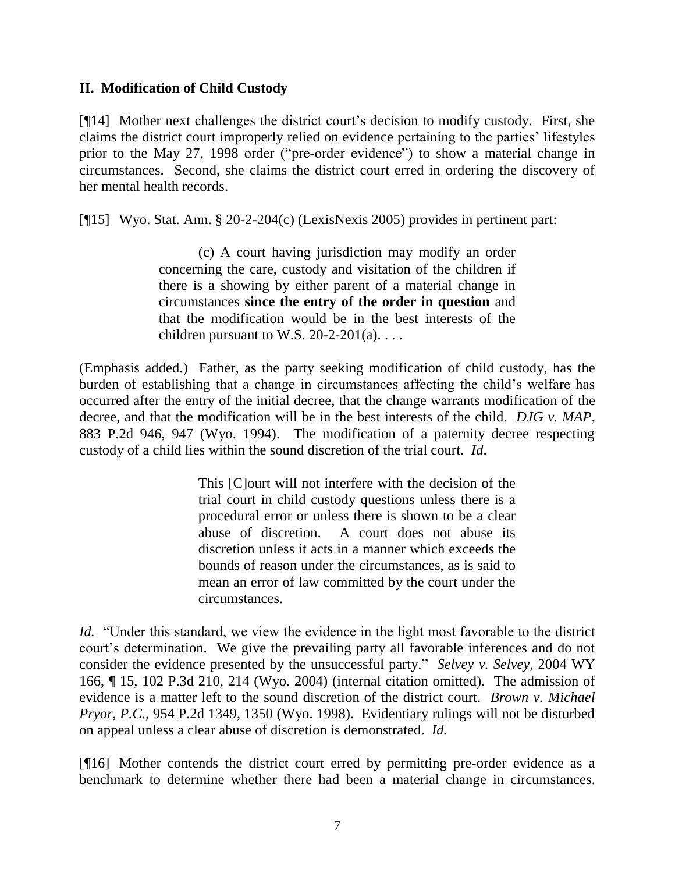## **II. Modification of Child Custody**

[¶14] Mother next challenges the district court's decision to modify custody. First, she claims the district court improperly relied on evidence pertaining to the parties' lifestyles prior to the May 27, 1998 order ("pre-order evidence") to show a material change in circumstances. Second, she claims the district court erred in ordering the discovery of her mental health records.

[¶15] Wyo. Stat. Ann. § 20-2-204(c) (LexisNexis 2005) provides in pertinent part:

(c) A court having jurisdiction may modify an order concerning the care, custody and visitation of the children if there is a showing by either parent of a material change in circumstances **since the entry of the order in question** and that the modification would be in the best interests of the children pursuant to W.S.  $20-2-201(a)$ ...

(Emphasis added.) Father, as the party seeking modification of child custody, has the burden of establishing that a change in circumstances affecting the child's welfare has occurred after the entry of the initial decree, that the change warrants modification of the decree, and that the modification will be in the best interests of the child. *DJG v. MAP*, 883 P.2d 946, 947 (Wyo. 1994). The modification of a paternity decree respecting custody of a child lies within the sound discretion of the trial court. *Id*.

> This [C]ourt will not interfere with the decision of the trial court in child custody questions unless there is a procedural error or unless there is shown to be a clear abuse of discretion. A court does not abuse its discretion unless it acts in a manner which exceeds the bounds of reason under the circumstances, as is said to mean an error of law committed by the court under the circumstances.

*Id.* "Under this standard, we view the evidence in the light most favorable to the district court's determination. We give the prevailing party all favorable inferences and do not consider the evidence presented by the unsuccessful party." *Selvey v. Selvey*, 2004 WY 166, ¶ 15, 102 P.3d 210, 214 (Wyo. 2004) (internal citation omitted). The admission of evidence is a matter left to the sound discretion of the district court. *Brown v. Michael Pryor, P.C.,* 954 P.2d 1349, 1350 (Wyo. 1998). Evidentiary rulings will not be disturbed on appeal unless a clear abuse of discretion is demonstrated. *Id.*

[¶16] Mother contends the district court erred by permitting pre-order evidence as a benchmark to determine whether there had been a material change in circumstances.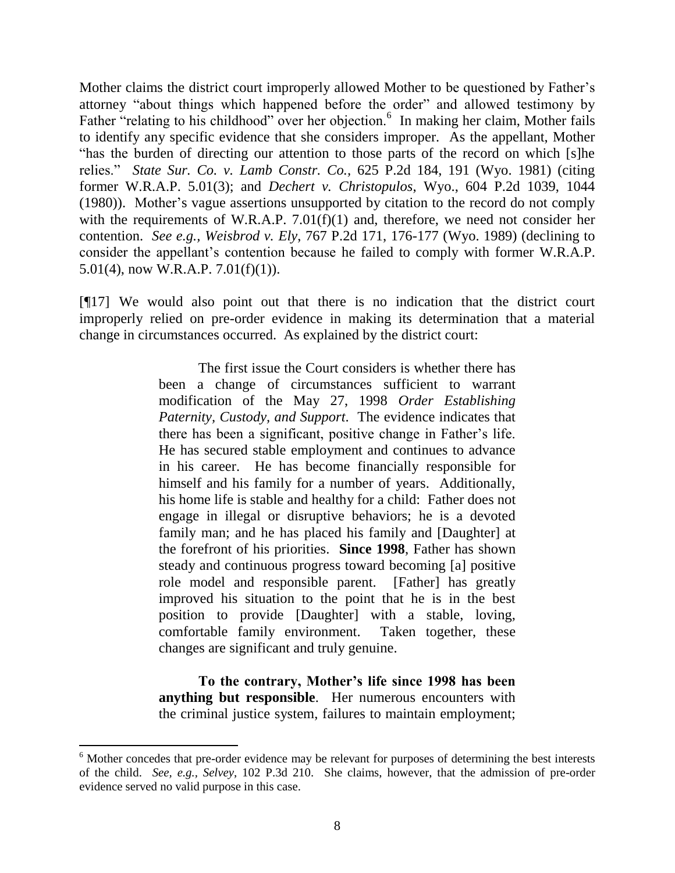Mother claims the district court improperly allowed Mother to be questioned by Father's attorney "about things which happened before the order" and allowed testimony by Father "relating to his childhood" over her objection.<sup>6</sup> In making her claim, Mother fails to identify any specific evidence that she considers improper. As the appellant, Mother "has the burden of directing our attention to those parts of the record on which [s]he relies." *State Sur. Co. v. Lamb Constr. Co.,* 625 P.2d 184, 191 (Wyo. 1981) (citing former W.R.A.P. 5.01(3); and *Dechert v. Christopulos*, Wyo., 604 P.2d 1039, 1044 (1980)). Mother's vague assertions unsupported by citation to the record do not comply with the requirements of W.R.A.P. 7.01(f)(1) and, therefore, we need not consider her contention. *See e.g., Weisbrod v. Ely*[, 767 P.2d 171, 176-177 \(Wyo. 1989\)](http://www.lexis.com/research/xlink?app=00075&view=full&searchtype=get&search=767+P.2d+176) (declining to consider the appellant's contention because he failed to comply with former W.R.A.P. 5.01(4), now W.R.A.P. 7.01(f)(1)).

[¶17] We would also point out that there is no indication that the district court improperly relied on pre-order evidence in making its determination that a material change in circumstances occurred. As explained by the district court:

> The first issue the Court considers is whether there has been a change of circumstances sufficient to warrant modification of the May 27, 1998 *Order Establishing Paternity, Custody, and Support*. The evidence indicates that there has been a significant, positive change in Father's life. He has secured stable employment and continues to advance in his career. He has become financially responsible for himself and his family for a number of years. Additionally, his home life is stable and healthy for a child: Father does not engage in illegal or disruptive behaviors; he is a devoted family man; and he has placed his family and [Daughter] at the forefront of his priorities. **Since 1998**, Father has shown steady and continuous progress toward becoming [a] positive role model and responsible parent. [Father] has greatly improved his situation to the point that he is in the best position to provide [Daughter] with a stable, loving, comfortable family environment. Taken together, these changes are significant and truly genuine.

**To the contrary, Mother's life since 1998 has been anything but responsible**. Her numerous encounters with the criminal justice system, failures to maintain employment;

 $\overline{a}$ 

 $6$  Mother concedes that pre-order evidence may be relevant for purposes of determining the best interests of the child. *See, e.g., Selvey*, 102 P.3d 210. She claims, however, that the admission of pre-order evidence served no valid purpose in this case.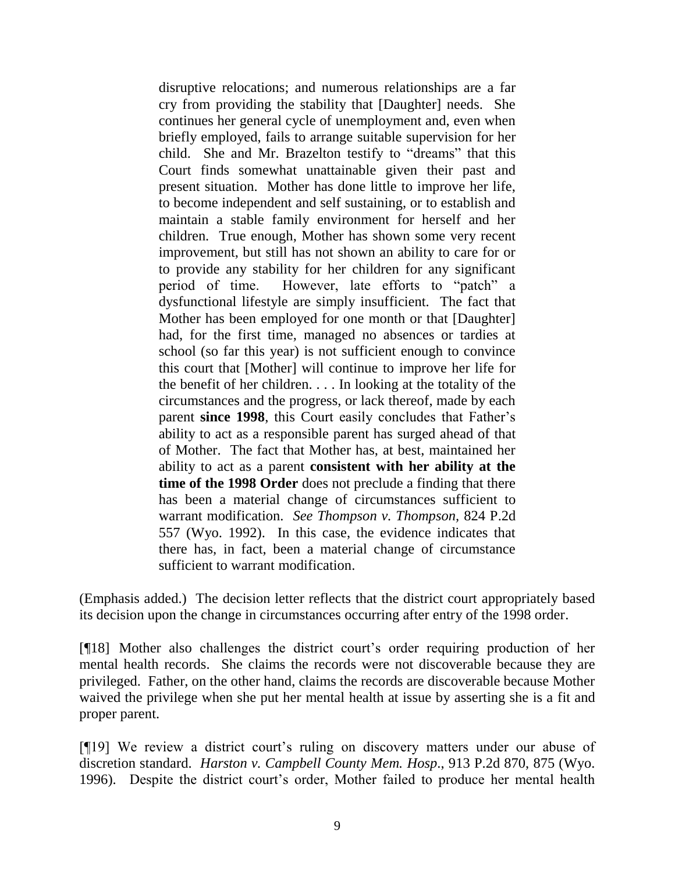disruptive relocations; and numerous relationships are a far cry from providing the stability that [Daughter] needs. She continues her general cycle of unemployment and, even when briefly employed, fails to arrange suitable supervision for her child. She and Mr. Brazelton testify to "dreams" that this Court finds somewhat unattainable given their past and present situation. Mother has done little to improve her life, to become independent and self sustaining, or to establish and maintain a stable family environment for herself and her children. True enough, Mother has shown some very recent improvement, but still has not shown an ability to care for or to provide any stability for her children for any significant period of time. However, late efforts to "patch" a dysfunctional lifestyle are simply insufficient. The fact that Mother has been employed for one month or that [Daughter] had, for the first time, managed no absences or tardies at school (so far this year) is not sufficient enough to convince this court that [Mother] will continue to improve her life for the benefit of her children. . . . In looking at the totality of the circumstances and the progress, or lack thereof, made by each parent **since 1998**, this Court easily concludes that Father's ability to act as a responsible parent has surged ahead of that of Mother. The fact that Mother has, at best, maintained her ability to act as a parent **consistent with her ability at the time of the 1998 Order** does not preclude a finding that there has been a material change of circumstances sufficient to warrant modification. *See Thompson v. Thompson,* 824 P.2d 557 (Wyo. 1992). In this case, the evidence indicates that there has, in fact, been a material change of circumstance sufficient to warrant modification.

(Emphasis added.) The decision letter reflects that the district court appropriately based its decision upon the change in circumstances occurring after entry of the 1998 order.

[¶18] Mother also challenges the district court's order requiring production of her mental health records. She claims the records were not discoverable because they are privileged. Father, on the other hand, claims the records are discoverable because Mother waived the privilege when she put her mental health at issue by asserting she is a fit and proper parent.

[¶19] We review a district court's ruling on discovery matters under our abuse of discretion standard. *[Harston v. Campbell County](http://www.lexis.com/research/xlink?app=00075&view=full&searchtype=get&search=913+P.2d+875) Mem. Hosp*., 913 P.2d 870, 875 (Wyo. [1996\).](http://www.lexis.com/research/xlink?app=00075&view=full&searchtype=get&search=913+P.2d+875) Despite the district court's order, Mother failed to produce her mental health